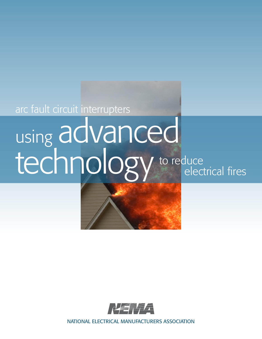arc fault circuit interrupters

### to reduce electrical fires using advanced technology



NATIONAL ELECTRICAL MANUFACTURERS ASSOCIATION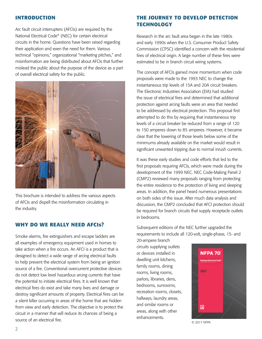#### **INTRODUCTION**

Arc fault circuit interrupters (AFCIs) are required by the National Electrical Code® (NEC) for certain electrical circuits in the home. Questions have been raised regarding their application and even the need for them. Various technical "opinions," organizational "marketing pitches," and misinformation are being distributed about AFCIs that further mislead the public about the purpose of the device as a part of overall electrical safety for the public.



This brochure is intended to address the various aspects of AFCIs and dispell the misinformation circulating in the industry.

#### **WHY DO WE REALLY NEED AFCIs?**

Smoke alarms, fire extinguishers and escape ladders are all examples of emergency equipment used in homes to take action when a fire occurs. An AFCI is a product that is designed to detect a wide range of arcing electrical faults to help prevent the electrical system from being an ignition source of a fire. Conventional overcurrent protective devices do not detect low level hazardous arcing currents that have the potential to initiate electrical fires. It is well known that electrical fires do exist and take many lives and damage or destroy significant amounts of property. Electrical fires can be a silent killer occurring in areas of the home that are hidden from view and early detection. The objective is to protect the circuit in a manner that will reduce its chances of being a source of an electrical fire.

#### **THE JOURNEY TO DEVELOP DETECTION TECHNOLOGY**

Research in the arc fault area began in the late 1980s and early 1990s when the U.S. Consumer Product Safety Commission (CPSC) identified a concern with the residential fires of electrical origin. A large number of these fires were estimated to be in branch circuit wiring systems.

The concept of AFCIs gained more momentum when code proposals were made to the 1993 NEC to change the instantaneous trip levels of 15A and 20A circuit breakers. The Electronic Industries Association (EIA) had studied the issue of electrical fires and determined that additional protection against arcing faults were an area that needed to be addressed by electrical protection. This proposal first attempted to do this by requiring that instantaneous trip levels of a circuit breaker be reduced from a range of 120 to 150 amperes down to 85 amperes. However, it became clear that the lowering of those levels below some of the minimums already available on the market would result in significant unwanted tripping due to normal inrush currents.

It was these early studies and code efforts that led to the first proposals requiring AFCIs, which were made during the development of the 1999 NEC. NEC Code-Making Panel 2 (CMP2) reviewed many proposals ranging from protecting the entire residence to the protection of living and sleeping areas. In addition, the panel heard numerous presentations on both sides of the issue. After much data analysis and discussion, the CMP2 concluded that AFCI protection should be required for branch circuits that supply receptacle outlets in bedrooms.

Subsequent editions of the NEC further upgraded the requirements to include all 120-volt, single-phase, 15- and

20-ampere branch circuits supplying outlets or devices installed in dwelling unit kitchens, family rooms, dining rooms, living rooms, parlors, libraries, dens, bedrooms, sunrooms, recreation rooms, closets, hallways, laundry areas, and similar rooms or areas, along with other enhancements.



© 2017 NFPA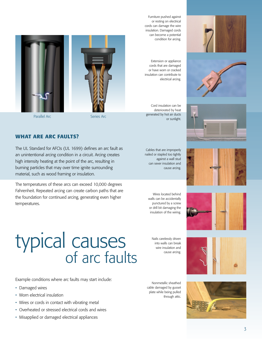

Extension or appliance cords that are damaged or have worn or cracked insulation can contribute to electrical arcing.

Cord insulation can be deteriorated by heat generated by hot air ducts or sunlight.

Cables that are improperly nailed or stapled too tightly against a wall stud can sever insulation and

Wires located behind walls can be accidentally punctured by a screw or drill bit damaging the insulation of the wiring.











Parallel Arc Series Arc

#### **WHAT ARE ARC FAULTS?**

The UL Standard for AFCIs (UL 1699) defines an arc fault as an unintentional arcing condition in a circuit. Arcing creates high intensity heating at the point of the arc, resulting in burning particles that may over time ignite surrounding material, such as wood framing or insulation.

The temperatures of these arcs can exceed 10,000 degrees Fahrenheit. Repeated arcing can create carbon paths that are the foundation for continued arcing, generating even higher temperatures.

cause arcing.

## of arc faults typical causes

Example conditions where arc faults may start include:

- Damaged wires
- Worn electrical insulation
- Wires or cords in contact with vibrating metal
- Overheated or stressed electrical cords and wires
- Misapplied or damaged electrical appliances

Nails carelessly driven into walls can break wire insulation and cause arcing.

Nonmetallic sheathed cable damaged by gusset plate while being pulled through attic.







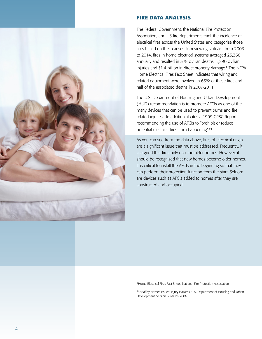

#### **FIRE DATA ANALYSIS**

The Federal Government, the National Fire Protection Association, and US fire departments track the incidence of electrical fires across the United States and categorize those fires based on their causes. In reviewing statistics from 2003 to 2014, fires in home electrical systems averaged 25,366 annually and resulted in 378 civilian deaths, 1,290 civilian injuries and \$1.4 billion in direct property damage.\* The NFPA Home Electrical Fires Fact Sheet indicates that wiring and related equipment were involved in 63% of these fires and half of the associated deaths in 2007-2011.

The U.S. Department of Housing and Urban Development (HUD) recommendation is to promote AFCIs as one of the many devices that can be used to prevent burns and fire related injuries. In addition, it cites a 1999 CPSC Report recommending the use of AFCIs to "prohibit or reduce potential electrical fires from happening."\*\*

As you can see from the data above, fires of electrical origin are a significant issue that must be addressed. Frequently, it is argued that fires only occur in older homes. However, it should be recognized that new homes become older homes. It is critical to install the AFCIs in the beginning so that they can perform their protection function from the start. Seldom are devices such as AFCIs added to homes after they are constructed and occupied.

\*Home Electrical Fires Fact Sheet, National Fire Protection Association

\*\*Healthy Homes Issues: Injury Hazards, U.S. Department of Housing and Urban Development, Version 3, March 2006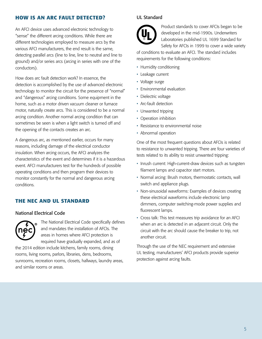#### **HOW IS AN ARC FAULT DETECTED?**

An AFCI device uses advanced electronic technology to "sense" the different arcing conditions. While there are different technologies employed to measure arcs by the various AFCI manufacturers, the end result is the same, detecting parallel arcs (line to line, line to neutral and line to ground) and/or series arcs (arcing in series with one of the conductors).

How does arc fault detection work? In essence, the detection is accomplished by the use of advanced electronic technology to monitor the circuit for the presence of "normal" and "dangerous" arcing conditions. Some equipment in the home, such as a motor driven vacuum cleaner or furnace motor, naturally create arcs. This is considered to be a normal arcing condition. Another normal arcing condition that can sometimes be seen is when a light switch is turned off and the opening of the contacts creates an arc.

A dangerous arc, as mentioned earlier, occurs for many reasons, including damage of the electrical conductor insulation. When arcing occurs, the AFCI analyzes the characteristics of the event and determines if it is a hazardous event. AFCI manufacturers test for the hundreds of possible operating conditions and then program their devices to monitor constantly for the normal and dangerous arcing conditions.

#### **THE NEC AND UL STANDARD**

#### National Electrical Code



The National Electrical Code specifically defines and mandates the installation of AFCIs. The areas in homes where AFCI protection is required have gradually expanded, and as of

the 2014 edition include kitchens, family rooms, dining rooms, living rooms, parlors, libraries, dens, bedrooms, sunrooms, recreation rooms, closets, hallways, laundry areas, and similar rooms or areas.

#### UL Standard



Product standards to cover AFCIs began to be developed in the mid-1990s. Underwriters Laboratories published UL 1699 Standard for Safety for AFCIs in 1999 to cover a wide variety

of conditions to evaluate an AFCI. The standard includes requirements for the following conditions:

- Humidity conditioning
- Leakage current
- Voltage surge
- Environmental evaluation
- Dielectric voltage
- Arc-fault detection
- Unwanted tripping
- Operation inhibition
- Resistance to environmental noise
- Abnormal operation

One of the most frequent questions about AFCIs is related to resistance to unwanted tripping. There are four varieties of tests related to its ability to resist unwanted tripping:

- Inrush current: High-current-draw devices such as tungsten filament lamps and capacitor start motors.
- Normal arcing: Brush motors, thermostatic contacts, wall switch and appliance plugs.
- Non-sinusoidal waveforms: Examples of devices creating these electrical waveforms include electronic lamp dimmers, computer switching-mode power supplies and fluorescent lamps.
- Cross talk: This test measures trip avoidance for an AFCI when an arc is detected in an adjacent circuit. Only the circuit with the arc should cause the breaker to trip, not another circuit.

Through the use of the NEC requirement and extensive UL testing, manufacturers' AFCI products provide superior protection against arcing faults.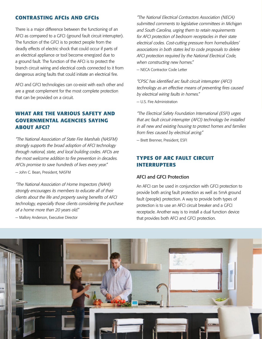#### **CONTRASTING AFCIs AND GFCIs**

There is a major difference between the functioning of an AFCI as compared to a GFCI (ground fault circuit interrupter). The function of the GFCI is to protect people from the deadly effects of electric shock that could occur if parts of an electrical appliance or tool become energized due to a ground fault. The function of the AFCI is to protect the branch circuit wiring and electrical cords connected to it from dangerous arcing faults that could initiate an electrical fire.

AFCI and GFCI technologies can co-exist with each other and are a great complement for the most complete protection that can be provided on a circuit.

#### **WHAT ARE THE VARIOUS SAFETY AND GOVERNMENTAL AGENCIES SAYING ABOUT AFCI?**

"The National Association of State Fire Marshals (NASFM) strongly supports the broad adoption of AFCI technology through national, state, and local building codes. AFCIs are the most welcome addition to fire prevention in decades. AFCIs promise to save hundreds of lives every year." — John C. Bean, President, NASFM

"The National Association of Home Inspectors (NAHI) strongly encourages its members to educate all of their clients about the life and property saving benefits of AFCI technology, especially those clients considering the purchase of a home more than 20 years old."

— Mallory Anderson, Executive Director

"The National Electrical Contractors Association (NECA) submitted comments to legislative committees in Michigan and South Carolina, urging them to retain requirements for AFCI protection of bedroom receptacles in their state electrical codes. Cost-cutting pressure from homebuilders' associations in both states led to code proposals to delete AFCI protection required by the National Electrical Code, when constructing new homes."

— NECA Contractor Code Letter

"CPSC has identified arc fault circuit interrupter (AFCI) technology as an effective means of preventing fires caused by electrical wiring faults in homes."

— U.S. Fire Administration

"The Electrical Safety Foundation International (ESFI) urges that arc fault circuit interrupter (AFCI) technology be installed in all new and existing housing to protect homes and families from fires caused by electrical arcing."

— Brett Brenner, President, ESFI

#### **TYPES OF ARC FAULT CIRCUIT INTERRUPTERS**

#### AFCI and GFCI Protection

An AFCI can be used in conjunction with GFCI protection to provide both arcing fault protection as well as 5mA ground fault (people) protection. A way to provide both types of protection is to use an AFCI circuit breaker and a GFCI receptacle. Another way is to install a dual function device that provides both AFCI and GFCI protection.

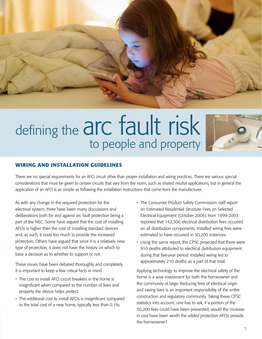

## defining the arc fault risk to people and property



#### **WIRING AND INSTALLATION GUIDELINES**

There are no special requirements for an AFCI circuit other than proper installation and wiring practices. There are various special considerations that must be given to certain circuits that vary from the norm, such as shared neutral applications, but in general the application of an AFCI is as simple as following the installation instructions that come from the manufacturer.

As with any change in the required protection for the electrical system, there have been many discussions and deliberations both for and against arc fault protection being a part of the NEC. Some have argued that the cost of installing AFCIs is higher than the cost of installing standard devices and, as such, it costs too much to provide the increased protection. Others have argued that since it is a relatively new type of protection, it does not have the history on which to base a decision as to whether to support or not.

These issues have been debated thoroughly and completely. It is important to keep a few critical facts in mind.

- The cost to install AFCI circuit breakers in the home is insignificant when compared to the number of lives and property the device helps protect.
- The additional cost to install AFCIs is insignificant compared to the total cost of a new home, typically less than 0.1%.
- The Consumer Product Safety Commission staff report on Estimated Residential Structure Fires on Selected Electrical Equipment (October 2006) from 1999-2003 reported that 142,300 electrical distribution fires occurred on all distribution components. Installed wiring fires were estimated to have occurred in 50,200 instances.
- Using the same report, the CPSC projected that there were 910 deaths attributed to electrical distribution equipment during that five-year period. Installed wiring led to approximately 210 deaths as a part of that total.

Applying technology to improve the electrical safety of the home is a wise investment for both the homeowner and the community at large. Reducing fires of electrical origin and saving lives is an important responsibility of the entire construction and regulatory community. Taking these CPSC statistics into account, one has to ask, if a portion of the 50,200 fires could have been prevented, would the increase in cost have been worth the added protection AFCIs provide the homeowner?